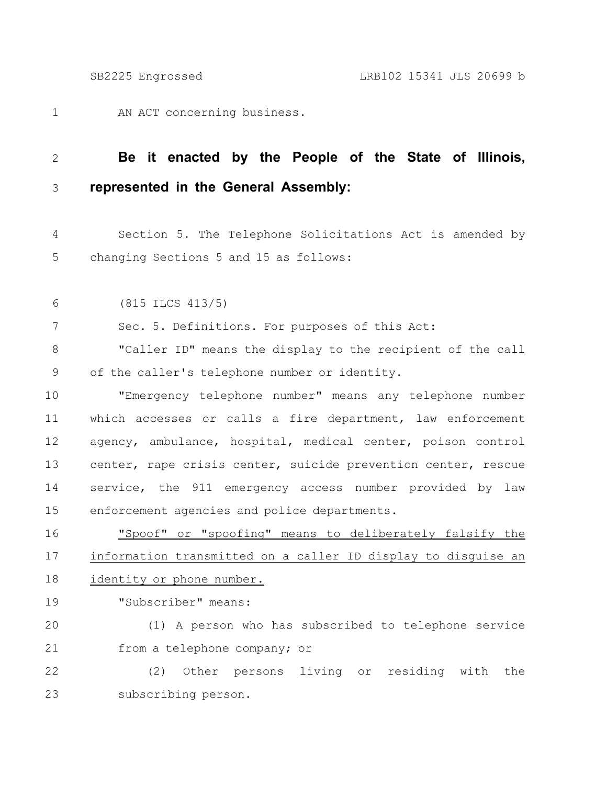AN ACT concerning business. 1

## **Be it enacted by the People of the State of Illinois, represented in the General Assembly:** 2 3

Section 5. The Telephone Solicitations Act is amended by changing Sections 5 and 15 as follows: 4 5

(815 ILCS 413/5) 6

Sec. 5. Definitions. For purposes of this Act: 7

"Caller ID" means the display to the recipient of the call of the caller's telephone number or identity. 8 9

"Emergency telephone number" means any telephone number which accesses or calls a fire department, law enforcement agency, ambulance, hospital, medical center, poison control center, rape crisis center, suicide prevention center, rescue service, the 911 emergency access number provided by law enforcement agencies and police departments. 10 11 12 13 14 15

"Spoof" or "spoofing" means to deliberately falsify the information transmitted on a caller ID display to disguise an identity or phone number. 16 17 18

"Subscriber" means: 19

(1) A person who has subscribed to telephone service from a telephone company; or 20 21

(2) Other persons living or residing with the subscribing person. 22 23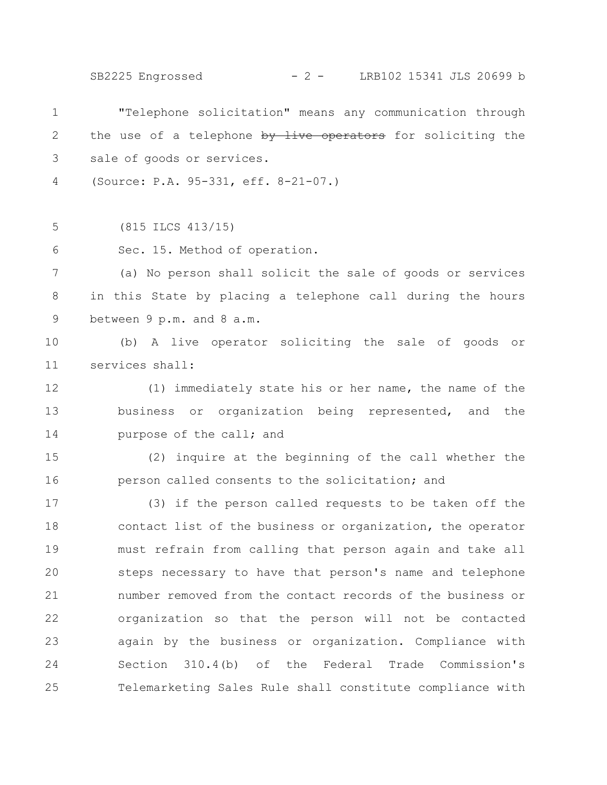SB2225 Engrossed - 2 - LRB102 15341 JLS 20699 b

"Telephone solicitation" means any communication through the use of a telephone by live operators for soliciting the sale of goods or services. (Source: P.A. 95-331, eff. 8-21-07.) (815 ILCS 413/15) Sec. 15. Method of operation. (a) No person shall solicit the sale of goods or services in this State by placing a telephone call during the hours between 9 p.m. and 8 a.m. (b) A live operator soliciting the sale of goods or services shall: (1) immediately state his or her name, the name of the business or organization being represented, and the purpose of the call; and (2) inquire at the beginning of the call whether the person called consents to the solicitation; and (3) if the person called requests to be taken off the contact list of the business or organization, the operator must refrain from calling that person again and take all steps necessary to have that person's name and telephone number removed from the contact records of the business or organization so that the person will not be contacted again by the business or organization. Compliance with Section 310.4(b) of the Federal Trade Commission's Telemarketing Sales Rule shall constitute compliance with 1 2 3 4 5 6 7 8 9 10 11 12 13 14 15 16 17 18 19 20 21 22 23 24 25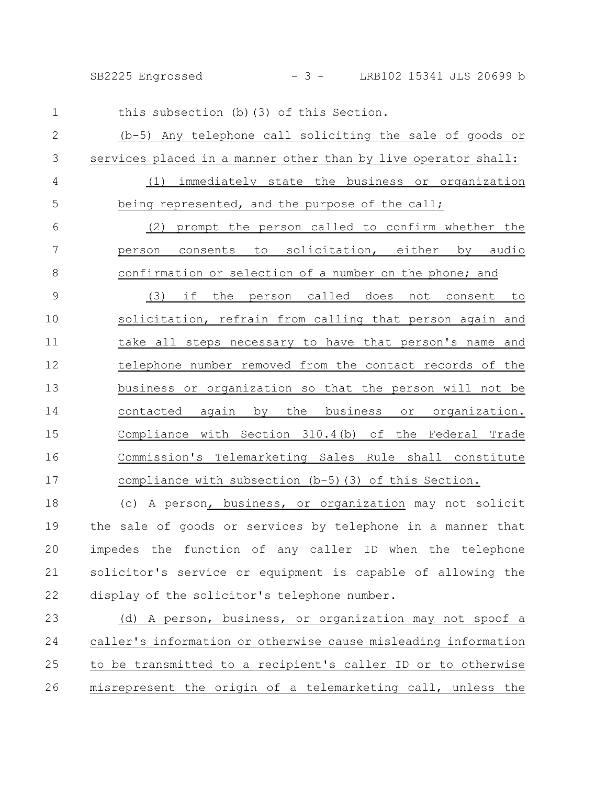SB2225 Engrossed - 3 - LRB102 15341 JLS 20699 b

this subsection (b)(3) of this Section. (b-5) Any telephone call soliciting the sale of goods or services placed in a manner other than by live operator shall: (1) immediately state the business or organization being represented, and the purpose of the call; (2) prompt the person called to confirm whether the person consents to solicitation, either by audio confirmation or selection of a number on the phone; and (3) if the person called does not consent to solicitation, refrain from calling that person again and take all steps necessary to have that person's name and telephone number removed from the contact records of the business or organization so that the person will not be contacted again by the business or organization. Compliance with Section 310.4(b) of the Federal Trade Commission's Telemarketing Sales Rule shall constitute compliance with subsection (b-5)(3) of this Section. 1 2 3 4 5 6 7 8 9 10 11 12 13 14 15 16 17

(c) A person, business, or organization may not solicit the sale of goods or services by telephone in a manner that impedes the function of any caller ID when the telephone solicitor's service or equipment is capable of allowing the display of the solicitor's telephone number. 18 19 20 21 22

(d) A person, business, or organization may not spoof a caller's information or otherwise cause misleading information to be transmitted to a recipient's caller ID or to otherwise misrepresent the origin of a telemarketing call, unless the 23 24 25 26